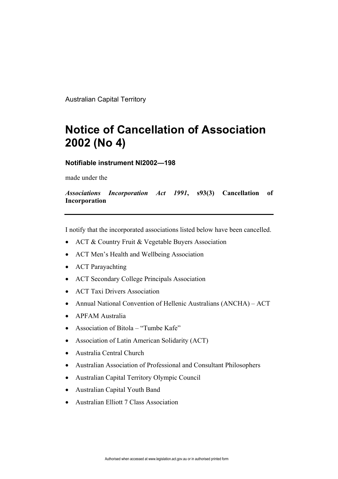Australian Capital Territory

## **Notice of Cancellation of Association 2002 (No 4)**

**Notifiable instrument NI2002—198**

made under the

*Associations Incorporation Act 1991***, s93(3) Cancellation of Incorporation**

I notify that the incorporated associations listed below have been cancelled.

- ACT & Country Fruit & Vegetable Buyers Association
- ACT Men's Health and Wellbeing Association
- ACT Parayachting
- ACT Secondary College Principals Association
- ACT Taxi Drivers Association
- Annual National Convention of Hellenic Australians (ANCHA) ACT
- APFAM Australia
- Association of Bitola "Tumbe Kafe"
- Association of Latin American Solidarity (ACT)
- Australia Central Church
- Australian Association of Professional and Consultant Philosophers
- Australian Capital Territory Olympic Council
- Australian Capital Youth Band
- Australian Elliott 7 Class Association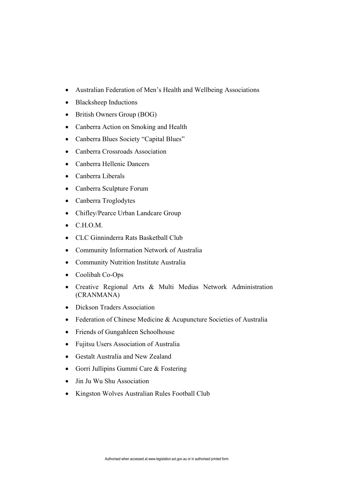- Australian Federation of Men's Health and Wellbeing Associations
- Blacksheep Inductions
- British Owners Group (BOG)
- Canberra Action on Smoking and Health
- Canberra Blues Society "Capital Blues"
- Canberra Crossroads Association
- Canberra Hellenic Dancers
- Canberra Liberals
- Canberra Sculpture Forum
- Canberra Troglodytes
- Chifley/Pearce Urban Landcare Group
- C.H.O.M.
- CLC Ginninderra Rats Basketball Club
- Community Information Network of Australia
- Community Nutrition Institute Australia
- Coolibah Co-Ops
- Creative Regional Arts & Multi Medias Network Administration (CRANMANA)
- Dickson Traders Association
- Federation of Chinese Medicine & Acupuncture Societies of Australia
- Friends of Gungahleen Schoolhouse
- Fujitsu Users Association of Australia
- Gestalt Australia and New Zealand
- Gorri Jullipins Gummi Care & Fostering
- Jin Ju Wu Shu Association
- Kingston Wolves Australian Rules Football Club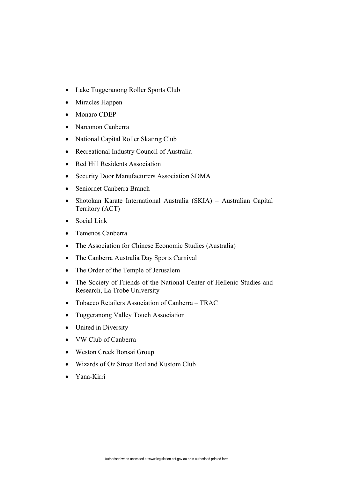- Lake Tuggeranong Roller Sports Club
- Miracles Happen
- Monaro CDEP
- Narconon Canberra
- National Capital Roller Skating Club
- Recreational Industry Council of Australia
- Red Hill Residents Association
- Security Door Manufacturers Association SDMA
- Seniornet Canberra Branch
- Shotokan Karate International Australia (SKIA) Australian Capital Territory (ACT)
- Social Link
- Temenos Canberra
- The Association for Chinese Economic Studies (Australia)
- The Canberra Australia Day Sports Carnival
- The Order of the Temple of Jerusalem
- The Society of Friends of the National Center of Hellenic Studies and Research, La Trobe University
- Tobacco Retailers Association of Canberra TRAC
- Tuggeranong Valley Touch Association
- United in Diversity
- VW Club of Canberra
- Weston Creek Bonsai Group
- Wizards of Oz Street Rod and Kustom Club
- Yana-Kirri